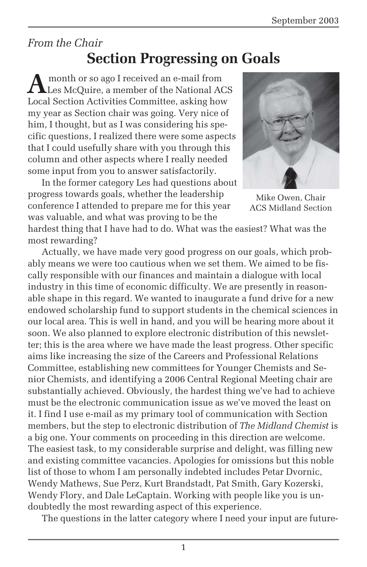### *From the Chair* **Section Progressing on Goals**

**A** month or so ago I received an e-mail from<br>Les McQuire, a member of the National ACS Local Section Activities Committee, asking how my year as Section chair was going. Very nice of him, I thought, but as I was considering his specific questions, I realized there were some aspects that I could usefully share with you through this column and other aspects where I really needed some input from you to answer satisfactorily.

In the former category Les had questions about progress towards goals, whether the leadership conference I attended to prepare me for this year was valuable, and what was proving to be the



Mike Owen, Chair ACS Midland Section

hardest thing that I have had to do. What was the easiest? What was the most rewarding?

Actually, we have made very good progress on our goals, which probably means we were too cautious when we set them. We aimed to be fiscally responsible with our finances and maintain a dialogue with local industry in this time of economic difficulty. We are presently in reasonable shape in this regard. We wanted to inaugurate a fund drive for a new endowed scholarship fund to support students in the chemical sciences in our local area. This is well in hand, and you will be hearing more about it soon. We also planned to explore electronic distribution of this newsletter; this is the area where we have made the least progress. Other specific aims like increasing the size of the Careers and Professional Relations Committee, establishing new committees for Younger Chemists and Senior Chemists, and identifying a 2006 Central Regional Meeting chair are substantially achieved. Obviously, the hardest thing we've had to achieve must be the electronic communication issue as we've moved the least on it. I find I use e-mail as my primary tool of communication with Section members, but the step to electronic distribution of *The Midland Chemist* is a big one. Your comments on proceeding in this direction are welcome. The easiest task, to my considerable surprise and delight, was filling new and existing committee vacancies. Apologies for omissions but this noble list of those to whom I am personally indebted includes Petar Dvornic, Wendy Mathews, Sue Perz, Kurt Brandstadt, Pat Smith, Gary Kozerski, Wendy Flory, and Dale LeCaptain. Working with people like you is undoubtedly the most rewarding aspect of this experience.

The questions in the latter category where I need your input are future-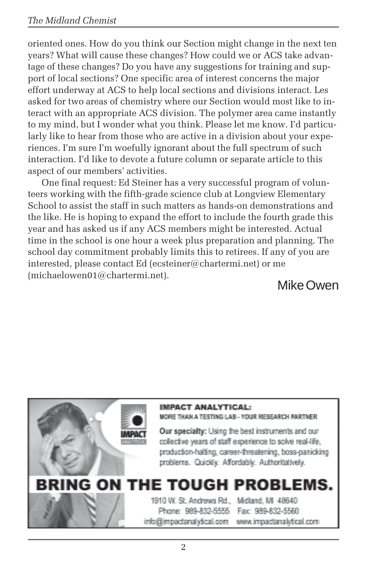#### *The Midland Chemist*

oriented ones. How do you think our Section might change in the next ten years? What will cause these changes? How could we or ACS take advantage of these changes? Do you have any suggestions for training and support of local sections? One specific area of interest concerns the major effort underway at ACS to help local sections and divisions interact. Les asked for two areas of chemistry where our Section would most like to interact with an appropriate ACS division. The polymer area came instantly to my mind, but I wonder what you think. Please let me know. I'd particularly like to hear from those who are active in a division about your experiences. I'm sure I'm woefully ignorant about the full spectrum of such interaction. I'd like to devote a future column or separate article to this aspect of our members' activities.

One final request: Ed Steiner has a very successful program of volunteers working with the fifth-grade science club at Longview Elementary School to assist the staff in such matters as hands-on demonstrations and the like. He is hoping to expand the effort to include the fourth grade this year and has asked us if any ACS members might be interested. Actual time in the school is one hour a week plus preparation and planning. The school day commitment probably limits this to retirees. If any of you are interested, please contact Ed (ecsteiner@chartermi.net) or me  $(michaelowen01@chartermi.net).$ 

Mike Owen

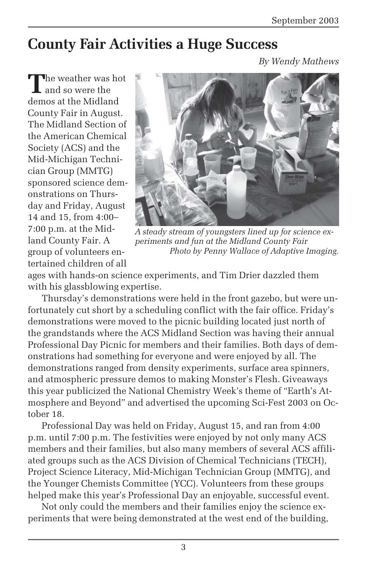## **County Fair Activities a Huge Success**

*By Wendy Mathews*

**T**he weather was hot and so were the demos at the Midland County Fair in August. The Midland Section of the American Chemical Society (ACS) and the Mid-Michigan Technician Group (MMTG) sponsored science demonstrations on Thursday and Friday, August 14 and 15, from 4:00– 7:00 p.m. at the Midland County Fair. A group of volunteers entertained children of all



*A steady stream of youngsters lined up for science experiments and fun at the Midland County Fair Photo by Penny Wallace of Adaptive Imaging.*

ages with hands-on science experiments, and Tim Drier dazzled them with his glassblowing expertise.

Thursday's demonstrations were held in the front gazebo, but were unfortunately cut short by a scheduling conflict with the fair office. Friday's demonstrations were moved to the picnic building located just north of the grandstands where the ACS Midland Section was having their annual Professional Day Picnic for members and their families. Both days of demonstrations had something for everyone and were enjoyed by all. The demonstrations ranged from density experiments, surface area spinners, and atmospheric pressure demos to making Monster's Flesh. Giveaways this year publicized the National Chemistry Week's theme of "Earth's Atmosphere and Beyond" and advertised the upcoming Sci-Fest 2003 on October 18.

Professional Day was held on Friday, August 15, and ran from 4:00 p.m. until 7:00 p.m. The festivities were enjoyed by not only many ACS members and their families, but also many members of several ACS affiliated groups such as the ACS Division of Chemical Technicians (TECH), Project Science Literacy, Mid-Michigan Technician Group (MMTG), and the Younger Chemists Committee (YCC). Volunteers from these groups helped make this year's Professional Day an enjoyable, successful event.

Not only could the members and their families enjoy the science experiments that were being demonstrated at the west end of the building,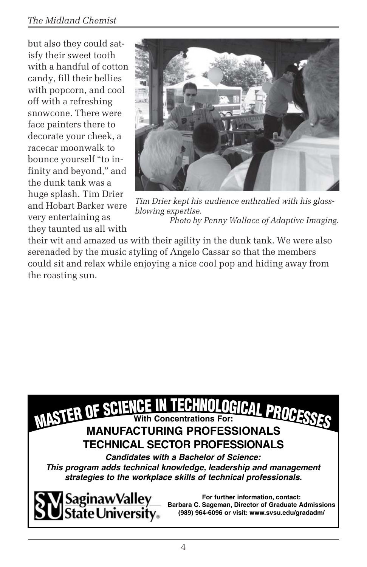### *The Midland Chemist*

but also they could satisfy their sweet tooth with a handful of cotton candy, fill their bellies with popcorn, and cool off with a refreshing snowcone. There were face painters there to decorate your cheek, a racecar moonwalk to bounce yourself "to infinity and beyond," and the dunk tank was a huge splash. Tim Drier and Hobart Barker were very entertaining as they taunted us all with



*Tim Drier kept his audience enthralled with his glassblowing expertise. Photo by Penny Wallace of Adaptive Imaging.*

their wit and amazed us with their agility in the dunk tank. We were also serenaded by the music styling of Angelo Cassar so that the members could sit and relax while enjoying a nice cool pop and hiding away from the roasting sun.



*This program adds technical knowledge, leadership and management strategies to the workplace skills of technical professionals.*



**For further information, contact: Barbara C. Sageman, Director of Graduate Admissions (989) 964-6096 or visit: www.svsu.edu/gradadm/**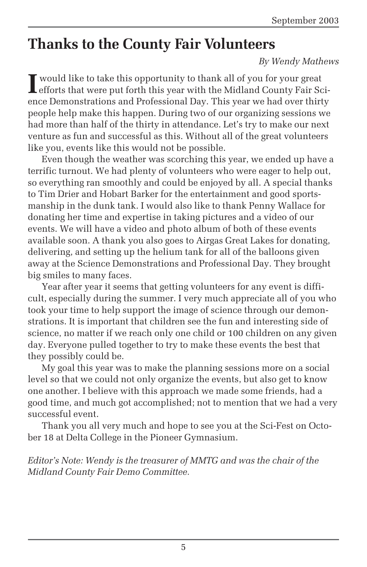## **Thanks to the County Fair Volunteers**

#### *By Wendy Mathews*

I would like to take this opportunity to thank all of you for your great<br>efforts that were put forth this year with the Midland County Fair So efforts that were put forth this year with the Midland County Fair Science Demonstrations and Professional Day. This year we had over thirty people help make this happen. During two of our organizing sessions we had more than half of the thirty in attendance. Let's try to make our next venture as fun and successful as this. Without all of the great volunteers like you, events like this would not be possible.

Even though the weather was scorching this year, we ended up have a terrific turnout. We had plenty of volunteers who were eager to help out, so everything ran smoothly and could be enjoyed by all. A special thanks to Tim Drier and Hobart Barker for the entertainment and good sportsmanship in the dunk tank. I would also like to thank Penny Wallace for donating her time and expertise in taking pictures and a video of our events. We will have a video and photo album of both of these events available soon. A thank you also goes to Airgas Great Lakes for donating, delivering, and setting up the helium tank for all of the balloons given away at the Science Demonstrations and Professional Day. They brought big smiles to many faces.

Year after year it seems that getting volunteers for any event is difficult, especially during the summer. I very much appreciate all of you who took your time to help support the image of science through our demonstrations. It is important that children see the fun and interesting side of science, no matter if we reach only one child or 100 children on any given day. Everyone pulled together to try to make these events the best that they possibly could be.

My goal this year was to make the planning sessions more on a social level so that we could not only organize the events, but also get to know one another. I believe with this approach we made some friends, had a good time, and much got accomplished; not to mention that we had a very successful event.

Thank you all very much and hope to see you at the Sci-Fest on October 18 at Delta College in the Pioneer Gymnasium.

*Editor's Note: Wendy is the treasurer of MMTG and was the chair of the Midland County Fair Demo Committee.*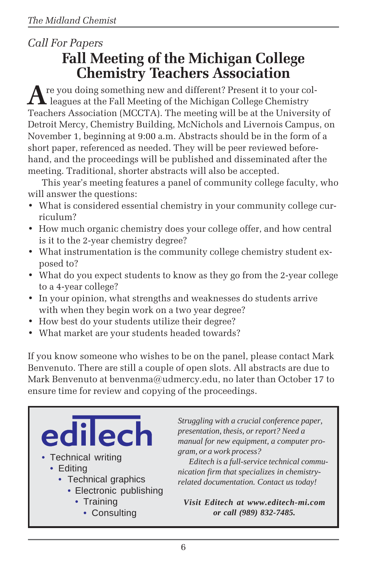## *Call For Papers* **Fall Meeting of the Michigan College Chemistry Teachers Association**

**A**re you doing something new and different? Present it to your col- $\blacksquare$  leagues at the Fall Meeting of the Michigan College Chemistry Teachers Association (MCCTA). The meeting will be at the University of Detroit Mercy, Chemistry Building, McNichols and Livernois Campus, on November 1, beginning at 9:00 a.m. Abstracts should be in the form of a short paper, referenced as needed. They will be peer reviewed beforehand, and the proceedings will be published and disseminated after the meeting. Traditional, shorter abstracts will also be accepted.

This year's meeting features a panel of community college faculty, who will answer the questions:

- What is considered essential chemistry in your community college curriculum?
- How much organic chemistry does your college offer, and how central is it to the 2-year chemistry degree?
- What instrumentation is the community college chemistry student exposed to?
- What do you expect students to know as they go from the 2-year college to a 4-year college?
- In your opinion, what strengths and weaknesses do students arrive with when they begin work on a two year degree?
- How best do your students utilize their degree?
- What market are your students headed towards?

If you know someone who wishes to be on the panel, please contact Mark Benvenuto. There are still a couple of open slots. All abstracts are due to Mark Benvenuto at benvenma@udmercy.edu, no later than October 17 to ensure time for review and copying of the proceedings.

• Technical writing • Editing • Technical graphics • Electronic publishing

- Training
	- Consulting

*Struggling with a crucial conference paper, presentation, thesis, or report? Need a manual for new equipment, a computer program, or a work process?*

*Editech is a full-service technical communication firm that specializes in chemistryrelated documentation. Contact us today!*

*Visit Editech at www.editech-mi.com or call (989) 832-7485.*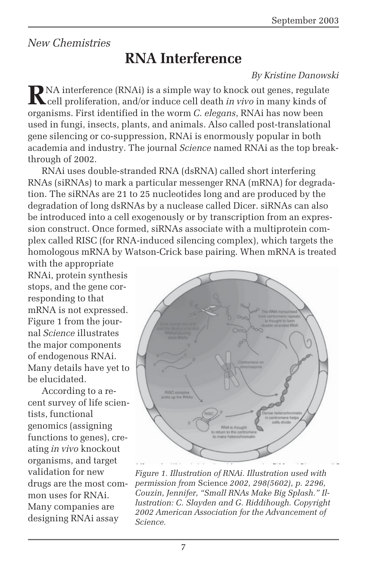### *New Chemistries*

# **RNA Interference**

### *By Kristine Danowski*

**R**NA interference (RNAi) is a simple way to knock out genes, regulate<br>cell proliferation, and/or induce cell death *in vivo* in many kinds of organisms. First identified in the worm *C. elegans*, RNAi has now been used in fungi, insects, plants, and animals. Also called post-translational gene silencing or co-suppression, RNAi is enormously popular in both academia and industry. The journal *Science* named RNAi as the top breakthrough of 2002.

RNAi uses double-stranded RNA (dsRNA) called short interfering RNAs (siRNAs) to mark a particular messenger RNA (mRNA) for degradation. The siRNAs are 21 to 25 nucleotides long and are produced by the degradation of long dsRNAs by a nuclease called Dicer. siRNAs can also be introduced into a cell exogenously or by transcription from an expression construct. Once formed, siRNAs associate with a multiprotein complex called RISC (for RNA-induced silencing complex), which targets the homologous mRNA by Watson-Crick base pairing. When mRNA is treated

with the appropriate RNAi, protein synthesis stops, and the gene corresponding to that mRNA is not expressed. Figure 1 from the journal *Science* illustrates the major components of endogenous RNAi. Many details have yet to be elucidated.

According to a recent survey of life scientists, functional genomics (assigning functions to genes), creating *in vivo* knockout organisms, and target validation for new drugs are the most common uses for RNAi. Many companies are designing RNAi assay



*Figure 1. Illustration of RNAi. Illustration used with permission from* Science *2002, 298(5602), p. 2296, Couzin, Jennifer, "Small RNAs Make Big Splash." Illustration: C. Slayden and G. Riddihough. Copyright 2002 American Association for the Advancement of Science.*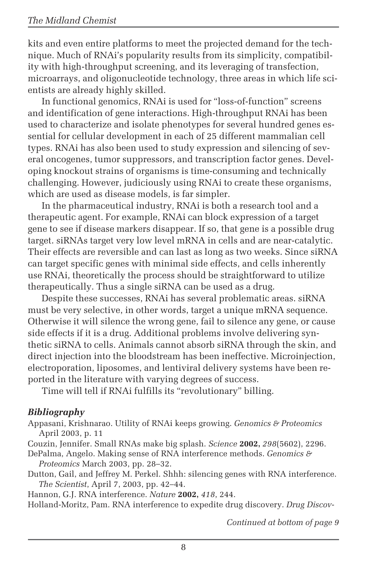kits and even entire platforms to meet the projected demand for the technique. Much of RNAi's popularity results from its simplicity, compatibility with high-throughput screening, and its leveraging of transfection, microarrays, and oligonucleotide technology, three areas in which life scientists are already highly skilled.

In functional genomics, RNAi is used for "loss-of-function" screens and identification of gene interactions. High-throughput RNAi has been used to characterize and isolate phenotypes for several hundred genes essential for cellular development in each of 25 different mammalian cell types. RNAi has also been used to study expression and silencing of several oncogenes, tumor suppressors, and transcription factor genes. Developing knockout strains of organisms is time-consuming and technically challenging. However, judiciously using RNAi to create these organisms, which are used as disease models, is far simpler.

In the pharmaceutical industry, RNAi is both a research tool and a therapeutic agent. For example, RNAi can block expression of a target gene to see if disease markers disappear. If so, that gene is a possible drug target. siRNAs target very low level mRNA in cells and are near-catalytic. Their effects are reversible and can last as long as two weeks. Since siRNA can target specific genes with minimal side effects, and cells inherently use RNAi, theoretically the process should be straightforward to utilize therapeutically. Thus a single siRNA can be used as a drug.

Despite these successes, RNAi has several problematic areas. siRNA must be very selective, in other words, target a unique mRNA sequence. Otherwise it will silence the wrong gene, fail to silence any gene, or cause side effects if it is a drug. Additional problems involve delivering synthetic siRNA to cells. Animals cannot absorb siRNA through the skin, and direct injection into the bloodstream has been ineffective. Microinjection, electroporation, liposomes, and lentiviral delivery systems have been reported in the literature with varying degrees of success.

Time will tell if RNAi fulfills its "revolutionary" billing.

### *Bibliography*

Appasani, Krishnarao. Utility of RNAi keeps growing. *Genomics & Proteomics* April 2003, p. 11

Couzin, Jennifer. Small RNAs make big splash. *Science* **2002,** *298*(5602), 2296.

DePalma, Angelo. Making sense of RNA interference methods. *Genomics & Proteomics* March 2003, pp. 28–32.

Dutton, Gail, and Jeffrey M. Perkel. Shhh: silencing genes with RNA interference. *The Scientist*, April 7, 2003, pp. 42–44.

Hannon, G.J. RNA interference. *Nature* **2002,** *418*, 244.

Holland-Moritz, Pam. RNA interference to expedite drug discovery. *Drug Discov-*

*Continued at bottom of page 9*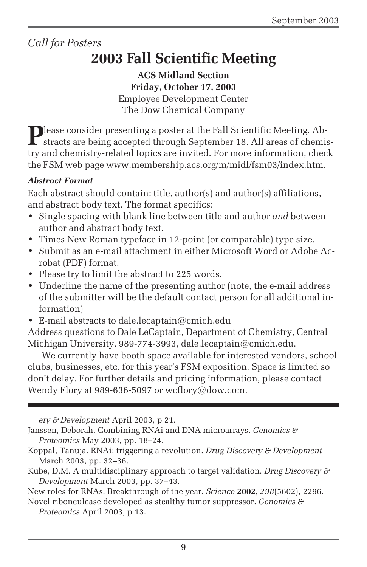### *Call for Posters*

# **2003 Fall Scientific Meeting**

**ACS Midland Section Friday, October 17, 2003** Employee Development Center The Dow Chemical Company

Please consider presenting a poster at the Fall Scientific Meeting. Abstracts are being accepted through September 18. All areas of chemistry and chemistry-related topics are invited. For more information, check the FSM web page www.membership.acs.org/m/midl/fsm03/index.htm.

#### *Abstract Format*

Each abstract should contain: title, author(s) and author(s) affiliations, and abstract body text. The format specifics:

- Single spacing with blank line between title and author *and* between author and abstract body text.
- Times New Roman typeface in 12-point (or comparable) type size.
- Submit as an e-mail attachment in either Microsoft Word or Adobe Acrobat (PDF) format.
- Please try to limit the abstract to 225 words.
- Underline the name of the presenting author (note, the e-mail address of the submitter will be the default contact person for all additional information)
- E-mail abstracts to dale.lecaptain@cmich.edu

Address questions to Dale LeCaptain, Department of Chemistry, Central Michigan University, 989-774-3993, dale.lecaptain@cmich.edu.

We currently have booth space available for interested vendors, school clubs, businesses, etc. for this year's FSM exposition. Space is limited so don't delay. For further details and pricing information, please contact Wendy Flory at 989-636-5097 or wcflory@dow.com.

*ery & Development* April 2003, p 21.

- Koppal, Tanuja. RNAi: triggering a revolution. *Drug Discovery & Development* March 2003, pp. 32–36.
- Kube, D.M. A multidisciplinary approach to target validation. *Drug Discovery & Development* March 2003, pp. 37–43.

New roles for RNAs. Breakthrough of the year. *Science* **2002,** *298*(5602), 2296.

Novel ribonculease developed as stealthy tumor suppressor. *Genomics & Proteomics* April 2003, p 13.

Janssen, Deborah. Combining RNAi and DNA microarrays. *Genomics & Proteomics* May 2003, pp. 18–24.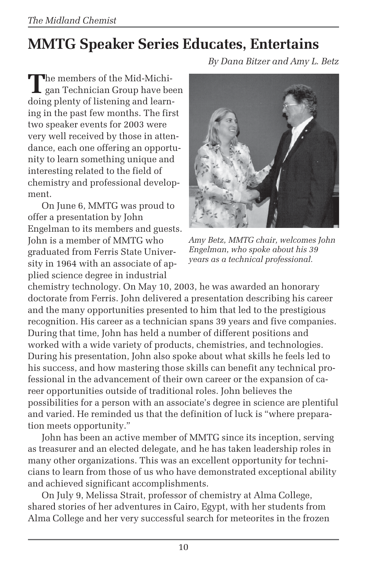# **MMTG Speaker Series Educates, Entertains**

*By Dana Bitzer and Amy L. Betz*

The members of the Mid-Michi-<br>gan Technician Group have been doing plenty of listening and learning in the past few months. The first two speaker events for 2003 were very well received by those in attendance, each one offering an opportunity to learn something unique and interesting related to the field of chemistry and professional development.

On June 6, MMTG was proud to offer a presentation by John Engelman to its members and guests. John is a member of MMTG who graduated from Ferris State University in 1964 with an associate of applied science degree in industrial



*Amy Betz, MMTG chair, welcomes John Engelman, who spoke about his 39 years as a technical professional.*

chemistry technology. On May 10, 2003, he was awarded an honorary doctorate from Ferris. John delivered a presentation describing his career and the many opportunities presented to him that led to the prestigious recognition. His career as a technician spans 39 years and five companies. During that time, John has held a number of different positions and worked with a wide variety of products, chemistries, and technologies. During his presentation, John also spoke about what skills he feels led to his success, and how mastering those skills can benefit any technical professional in the advancement of their own career or the expansion of career opportunities outside of traditional roles. John believes the possibilities for a person with an associate's degree in science are plentiful and varied. He reminded us that the definition of luck is "where preparation meets opportunity."

John has been an active member of MMTG since its inception, serving as treasurer and an elected delegate, and he has taken leadership roles in many other organizations. This was an excellent opportunity for technicians to learn from those of us who have demonstrated exceptional ability and achieved significant accomplishments.

On July 9, Melissa Strait, professor of chemistry at Alma College, shared stories of her adventures in Cairo, Egypt, with her students from Alma College and her very successful search for meteorites in the frozen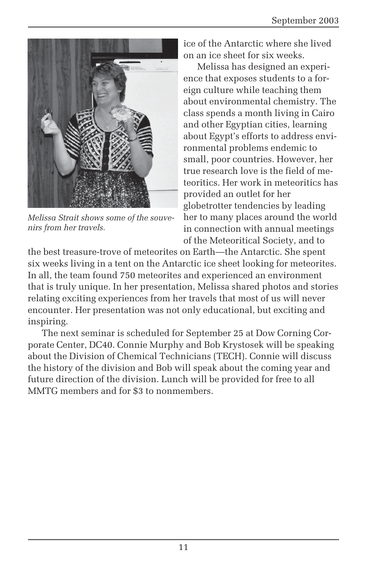

*Melissa Strait shows some of the souvenirs from her travels.*

ice of the Antarctic where she lived on an ice sheet for six weeks.

Melissa has designed an experience that exposes students to a foreign culture while teaching them about environmental chemistry. The class spends a month living in Cairo and other Egyptian cities, learning about Egypt's efforts to address environmental problems endemic to small, poor countries. However, her true research love is the field of meteoritics. Her work in meteoritics has provided an outlet for her globetrotter tendencies by leading her to many places around the world in connection with annual meetings of the Meteoritical Society, and to

the best treasure-trove of meteorites on Earth—the Antarctic. She spent six weeks living in a tent on the Antarctic ice sheet looking for meteorites. In all, the team found 750 meteorites and experienced an environment that is truly unique. In her presentation, Melissa shared photos and stories relating exciting experiences from her travels that most of us will never encounter. Her presentation was not only educational, but exciting and inspiring.

The next seminar is scheduled for September 25 at Dow Corning Corporate Center, DC40. Connie Murphy and Bob Krystosek will be speaking about the Division of Chemical Technicians (TECH). Connie will discuss the history of the division and Bob will speak about the coming year and future direction of the division. Lunch will be provided for free to all MMTG members and for \$3 to nonmembers.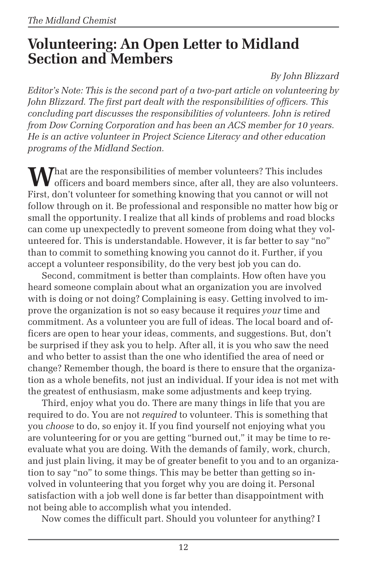## **Volunteering: An Open Letter to Midland Section and Members**

*By John Blizzard*

*Editor's Note: This is the second part of a two-part article on volunteering by John Blizzard. The first part dealt with the responsibilities of officers. This concluding part discusses the responsibilities of volunteers. John is retired from Dow Corning Corporation and has been an ACS member for 10 years. He is an active volunteer in Project Science Literacy and other education programs of the Midland Section.*

**M** That are the responsibilities of member volunteers? This includes **V** officers and board members since, after all, they are also volunteers. First, don't volunteer for something knowing that you cannot or will not follow through on it. Be professional and responsible no matter how big or small the opportunity. I realize that all kinds of problems and road blocks can come up unexpectedly to prevent someone from doing what they volunteered for. This is understandable. However, it is far better to say "no" than to commit to something knowing you cannot do it. Further, if you accept a volunteer responsibility, do the very best job you can do.

Second, commitment is better than complaints. How often have you heard someone complain about what an organization you are involved with is doing or not doing? Complaining is easy. Getting involved to improve the organization is not so easy because it requires *your* time and commitment. As a volunteer you are full of ideas. The local board and officers are open to hear your ideas, comments, and suggestions. But, don't be surprised if they ask you to help. After all, it is you who saw the need and who better to assist than the one who identified the area of need or change? Remember though, the board is there to ensure that the organization as a whole benefits, not just an individual. If your idea is not met with the greatest of enthusiasm, make some adjustments and keep trying.

Third, enjoy what you do. There are many things in life that you are required to do. You are not *required* to volunteer. This is something that you *choose* to do, so enjoy it. If you find yourself not enjoying what you are volunteering for or you are getting "burned out," it may be time to reevaluate what you are doing. With the demands of family, work, church, and just plain living, it may be of greater benefit to you and to an organization to say "no" to some things. This may be better than getting so involved in volunteering that you forget why you are doing it. Personal satisfaction with a job well done is far better than disappointment with not being able to accomplish what you intended.

Now comes the difficult part. Should you volunteer for anything? I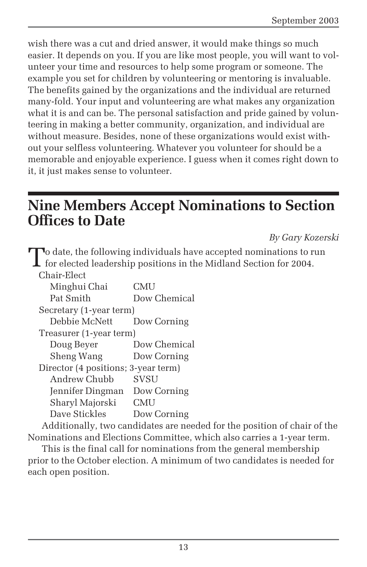wish there was a cut and dried answer, it would make things so much easier. It depends on you. If you are like most people, you will want to volunteer your time and resources to help some program or someone. The example you set for children by volunteering or mentoring is invaluable. The benefits gained by the organizations and the individual are returned many-fold. Your input and volunteering are what makes any organization what it is and can be. The personal satisfaction and pride gained by volunteering in making a better community, organization, and individual are without measure. Besides, none of these organizations would exist without your selfless volunteering. Whatever you volunteer for should be a memorable and enjoyable experience. I guess when it comes right down to it, it just makes sense to volunteer.

## **Nine Members Accept Nominations to Section Offices to Date**

*By Gary Kozerski*

| $\mathbf{\bar{J}}$ o date, the following individuals have accepted nominations to run<br>$\perp$ for elected leadership positions in the Midland Section for 2004. |              |
|--------------------------------------------------------------------------------------------------------------------------------------------------------------------|--------------|
| Chair-Elect                                                                                                                                                        |              |
| Minghui Chai                                                                                                                                                       | <b>CMU</b>   |
| Pat Smith                                                                                                                                                          | Dow Chemical |
| Secretary (1-year term)                                                                                                                                            |              |
| Debbie McNett                                                                                                                                                      | Dow Corning  |
| Treasurer (1-year term)                                                                                                                                            |              |
| Doug Beyer                                                                                                                                                         | Dow Chemical |
| Sheng Wang                                                                                                                                                         | Dow Corning  |
| Director (4 positions; 3-year term)                                                                                                                                |              |
| Andrew Chubb                                                                                                                                                       | SVSU         |
| Jennifer Dingman Dow Corning                                                                                                                                       |              |
| Sharyl Majorski                                                                                                                                                    | <b>CMU</b>   |
| Dave Stickles                                                                                                                                                      | Dow Corning  |
| Additionally, two candidates are needed for the position of chair of the                                                                                           |              |

Nominations and Elections Committee, which also carries a 1-year term.

This is the final call for nominations from the general membership prior to the October election. A minimum of two candidates is needed for each open position.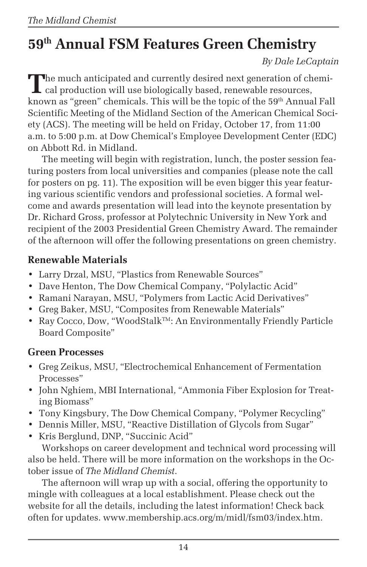# **59th Annual FSM Features Green Chemistry**

*By Dale LeCaptain*

The much anticipated and currently desired next generation of chemi-I cal production will use biologically based, renewable resources, known as "green" chemicals. This will be the topic of the 59<sup>th</sup> Annual Fall Scientific Meeting of the Midland Section of the American Chemical Society (ACS). The meeting will be held on Friday, October 17, from 11:00 a.m. to 5:00 p.m. at Dow Chemical's Employee Development Center (EDC) on Abbott Rd. in Midland.

The meeting will begin with registration, lunch, the poster session featuring posters from local universities and companies (please note the call for posters on pg. 11). The exposition will be even bigger this year featuring various scientific vendors and professional societies. A formal welcome and awards presentation will lead into the keynote presentation by Dr. Richard Gross, professor at Polytechnic University in New York and recipient of the 2003 Presidential Green Chemistry Award. The remainder of the afternoon will offer the following presentations on green chemistry.

### **Renewable Materials**

- Larry Drzal, MSU, "Plastics from Renewable Sources"
- Dave Henton, The Dow Chemical Company, "Polylactic Acid"
- Ramani Narayan, MSU, "Polymers from Lactic Acid Derivatives"
- Greg Baker, MSU, "Composites from Renewable Materials"
- Ray Cocco, Dow, "WoodStalk<sup>TM</sup>: An Environmentally Friendly Particle Board Composite"

### **Green Processes**

- Greg Zeikus, MSU, "Electrochemical Enhancement of Fermentation Processes"
- John Nghiem, MBI International, "Ammonia Fiber Explosion for Treating Biomass"
- Tony Kingsbury, The Dow Chemical Company, "Polymer Recycling"
- Dennis Miller, MSU, "Reactive Distillation of Glycols from Sugar"
- Kris Berglund, DNP, "Succinic Acid" Workshops on career development and technical word processing will

also be held. There will be more information on the workshops in the October issue of *The Midland Chemist*.

The afternoon will wrap up with a social, offering the opportunity to mingle with colleagues at a local establishment. Please check out the website for all the details, including the latest information! Check back often for updates. www.membership.acs.org/m/midl/fsm03/index.htm.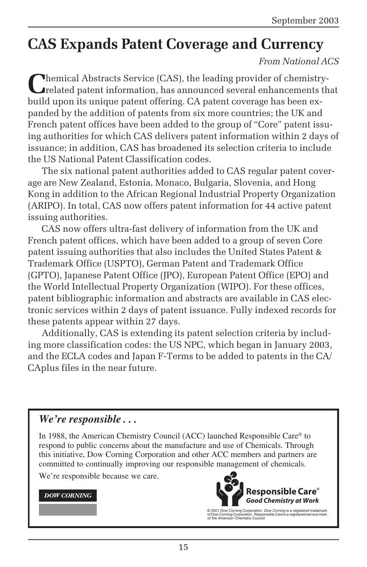# **CAS Expands Patent Coverage and Currency**

### *From National ACS*

**Themical Abstracts Service (CAS), the leading provider of chemistry**related patent information, has announced several enhancements that build upon its unique patent offering. CA patent coverage has been expanded by the addition of patents from six more countries; the UK and French patent offices have been added to the group of "Core" patent issuing authorities for which CAS delivers patent information within 2 days of issuance; in addition, CAS has broadened its selection criteria to include the US National Patent Classification codes.

The six national patent authorities added to CAS regular patent coverage are New Zealand, Estonia, Monaco, Bulgaria, Slovenia, and Hong Kong in addition to the African Regional Industrial Property Organization (ARIPO). In total, CAS now offers patent information for 44 active patent issuing authorities.

CAS now offers ultra-fast delivery of information from the UK and French patent offices, which have been added to a group of seven Core patent issuing authorities that also includes the United States Patent & Trademark Office (USPTO), German Patent and Trademark Office (GPTO), Japanese Patent Office (JPO), European Patent Office (EPO) and the World Intellectual Property Organization (WIPO). For these offices, patent bibliographic information and abstracts are available in CAS electronic services within 2 days of patent issuance. Fully indexed records for these patents appear within 27 days.

Additionally, CAS is extending its patent selection criteria by including more classification codes: the US NPC, which began in January 2003, and the ECLA codes and Japan F-Terms to be added to patents in the CA/ CAplus files in the near future.

### *We're responsible . . .*

In 1988, the American Chemistry Council (ACC) launched Responsible Care® to respond to public concerns about the manufacture and use of Chemicals. Through this initiative, Dow Corning Corporation and other ACC members and partners are committed to continually improving our responsible management of chemicals.

We're responsible because we care.

#### **DOW CORNING**



© 2001 Dow Corning Corporation. Dow Corning is a registered trademark of Dow Corning Corporation. Responsible Care is a registered service mark of the American Chemistry Council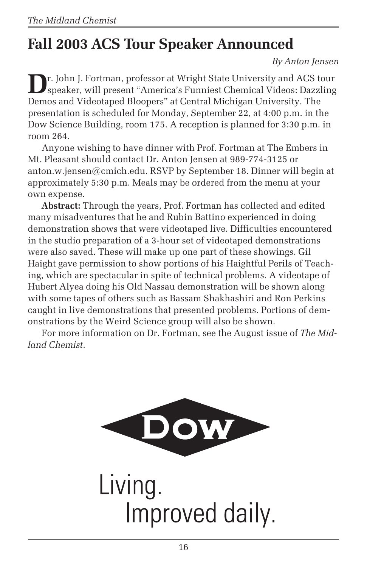# **Fall 2003 ACS Tour Speaker Announced**

*By Anton Jensen*

**D**r. John J. Fortman, professor at Wright State University and ACS tour speaker, will present "America's Funniest Chemical Videos: Dazzling Demos and Videotaped Bloopers" at Central Michigan University. The presentation is scheduled for Monday, September 22, at 4:00 p.m. in the Dow Science Building, room 175. A reception is planned for 3:30 p.m. in room 264.

Anyone wishing to have dinner with Prof. Fortman at The Embers in Mt. Pleasant should contact Dr. Anton Jensen at 989-774-3125 or anton.w.jensen@cmich.edu. RSVP by September 18. Dinner will begin at approximately 5:30 p.m. Meals may be ordered from the menu at your own expense.

**Abstract:** Through the years, Prof. Fortman has collected and edited many misadventures that he and Rubin Battino experienced in doing demonstration shows that were videotaped live. Difficulties encountered in the studio preparation of a 3-hour set of videotaped demonstrations were also saved. These will make up one part of these showings. Gil Haight gave permission to show portions of his Haightful Perils of Teaching, which are spectacular in spite of technical problems. A videotape of Hubert Alyea doing his Old Nassau demonstration will be shown along with some tapes of others such as Bassam Shakhashiri and Ron Perkins caught in live demonstrations that presented problems. Portions of demonstrations by the Weird Science group will also be shown.

For more information on Dr. Fortman, see the August issue of *The Midland Chemist*.



Living. Improved daily.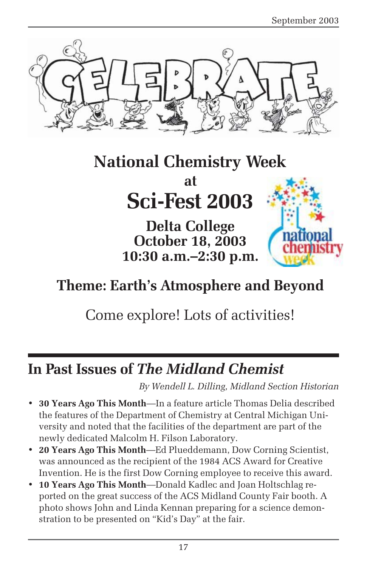

# **National Chemistry Week**

# **at Sci-Fest 2003**

**Delta College October 18, 2003 10:30 a.m.–2:30 p.m.**



# **Theme: Earth's Atmosphere and Beyond**

# Come explore! Lots of activities!

## **In Past Issues of** *The Midland Chemist*

*By Wendell L. Dilling, Midland Section Historian*

- **30 Years Ago This Month**—In a feature article Thomas Delia described the features of the Department of Chemistry at Central Michigan University and noted that the facilities of the department are part of the newly dedicated Malcolm H. Filson Laboratory.
- **20 Years Ago This Month**—Ed Plueddemann, Dow Corning Scientist, was announced as the recipient of the 1984 ACS Award for Creative Invention. He is the first Dow Corning employee to receive this award.
- **10 Years Ago This Month**—Donald Kadlec and Joan Holtschlag reported on the great success of the ACS Midland County Fair booth. A photo shows John and Linda Kennan preparing for a science demonstration to be presented on "Kid's Day" at the fair.